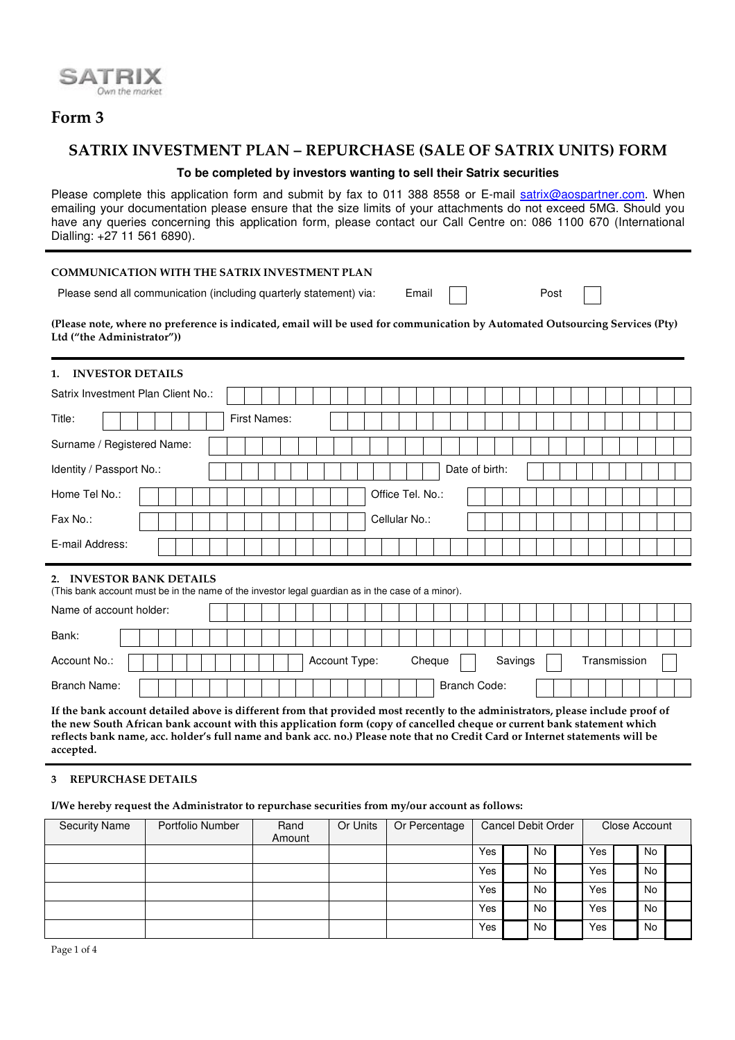

# **Form 3**

## **SATRIX INVESTMENT PLAN – REPURCHASE (SALE OF SATRIX UNITS) FORM**

### **To be completed by investors wanting to sell their Satrix securities**

Please complete this application form and submit by fax to 011 388 8558 or E-mail satrix@aospartner.com. When emailing your documentation please ensure that the size limits of your attachments do not exceed 5MG. Should you have any queries concerning this application form, please contact our Call Centre on: 086 1100 670 (International Dialling: +27 11 561 6890).

#### **COMMUNICATION WITH THE SATRIX INVESTMENT PLAN**

Please send all communication (including quarterly statement) via: Email | | | Post

(Please note, where no preference is indicated, email will be used for communication by Automated Outsourcing Services (Pty) **Ltd ("the Administrator"))**

### **1. INVESTOR DETAILS**

| Satrix Investment Plan Client No.: |                     |                  |  |  |  |
|------------------------------------|---------------------|------------------|--|--|--|
| Title:                             | <b>First Names:</b> |                  |  |  |  |
| Surname / Registered Name:         |                     |                  |  |  |  |
| Identity / Passport No.:           |                     | Date of birth:   |  |  |  |
| Home Tel No.:                      |                     | Office Tel. No.: |  |  |  |
| Fax No.:                           |                     | Cellular No.:    |  |  |  |
| E-mail Address:                    |                     |                  |  |  |  |
| 2. INVESTOR BANK DETAILS           |                     |                  |  |  |  |

(This bank account must be in the name of the investor legal guardian as in the case of a minor).

| Name of account holder: |  |  |  |  |  |               |  |  |        |                     |  |         |  |  |  |              |  |  |
|-------------------------|--|--|--|--|--|---------------|--|--|--------|---------------------|--|---------|--|--|--|--------------|--|--|
| Bank:                   |  |  |  |  |  |               |  |  |        |                     |  |         |  |  |  |              |  |  |
| Account No.:            |  |  |  |  |  | Account Type: |  |  | Cheque |                     |  | Savings |  |  |  | Transmission |  |  |
| Branch Name:            |  |  |  |  |  |               |  |  |        | <b>Branch Code:</b> |  |         |  |  |  |              |  |  |

If the bank account detailed above is different from that provided most recently to the administrators, please include proof of the new South African bank account with this application form (copy of cancelled cheque or current bank statement which reflects bank name, acc. holder's full name and bank acc. no.) Please note that no Credit Card or Internet statements will be **accepted.**

#### **3 REPURCHASE DETAILS**

**I/We hereby request the Administrator to repurchase securities from my/our account as follows:**

| <b>Security Name</b> | Portfolio Number | Rand<br>Amount | Or Units | Or Percentage | <b>Cancel Debit Order</b> |    |     | Close Account |  |
|----------------------|------------------|----------------|----------|---------------|---------------------------|----|-----|---------------|--|
|                      |                  |                |          |               | Yes                       | No | Yes | No            |  |
|                      |                  |                |          |               | Yes                       | No | Yes | No            |  |
|                      |                  |                |          |               | Yes                       | No | Yes | <b>No</b>     |  |
|                      |                  |                |          |               | Yes                       | No | Yes | No            |  |
|                      |                  |                |          |               | Yes                       | No | Yes | <b>No</b>     |  |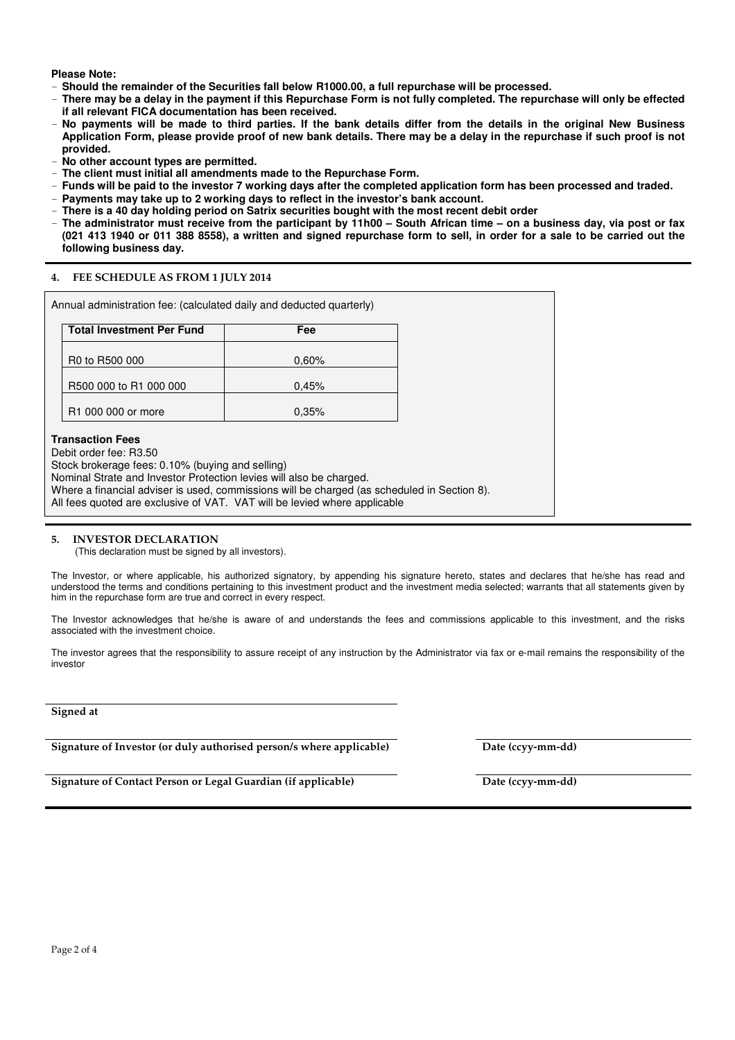**Please Note:**

- **Should the remainder of the Securities fall below R1000.00, a full repurchase will be processed.**
- There may be a delay in the payment if this Repurchase Form is not fully completed. The repurchase will only be effected **if all relevant FICA documentation has been received.**
- No payments will be made to third parties. If the bank details differ from the details in the original New Business Application Form, please provide proof of new bank details. There may be a delay in the repurchase if such proof is not **provided.**
- **No other account types are permitted.**
- **The client must initial all amendments made to the Repurchase Form.**
- Funds will be paid to the investor 7 working days after the completed application form has been processed and traded.
- **Payments may take up to 2 working days to reflect in the investor's bank account.**
- **There is a 40 day holding period on Satrix securities bought with the most recent debit order**
- The administrator must receive from the participant by 11h00 South African time on a business day, via post or fax (021 413 1940 or 011 388 8558), a written and signed repurchase form to sell, in order for a sale to be carried out the **following business day.**

#### **4. FEE SCHEDULE AS FROM 1 JULY 2014**

| 0.60% |  |
|-------|--|
|       |  |
| 0.45% |  |
| 0.35% |  |
|       |  |

#### **5. INVESTOR DECLARATION**

(This declaration must be signed by all investors).

The Investor, or where applicable, his authorized signatory, by appending his signature hereto, states and declares that he/she has read and understood the terms and conditions pertaining to this investment product and the investment media selected; warrants that all statements given by him in the repurchase form are true and correct in every respect.

The Investor acknowledges that he/she is aware of and understands the fees and commissions applicable to this investment, and the risks associated with the investment choice.

The investor agrees that the responsibility to assure receipt of any instruction by the Administrator via fax or e-mail remains the responsibility of the investor

#### **Signed at**

**Signature of Investor (or duly authorised person/s where applicable) Date (ccyy-mm-dd)**

**Signature of Contact Person or Legal Guardian (if applicable) Date (ccyy-mm-dd)**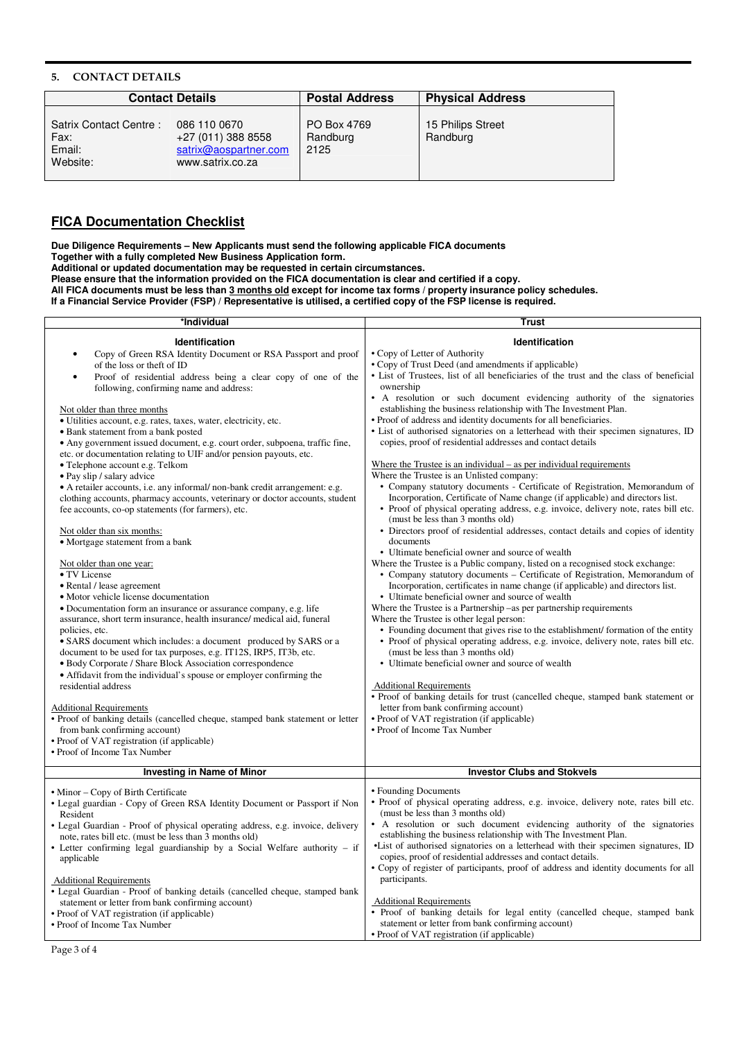#### **5. CONTACT DETAILS**

|                                                      | <b>Contact Details</b>                                                          | <b>Postal Address</b>           | <b>Physical Address</b>       |
|------------------------------------------------------|---------------------------------------------------------------------------------|---------------------------------|-------------------------------|
| Satrix Contact Centre:<br>Fax:<br>Email:<br>Website: | 086 110 0670<br>+27 (011) 388 8558<br>satrix@aospartner.com<br>www.satrix.co.za | PO Box 4769<br>Randburg<br>2125 | 15 Philips Street<br>Randburg |

## **FICA Documentation Checklist**

**Due Diligence Requirements – New Applicants must send the following applicable FICA documents Together with a fully completed New Business Application form.**

**Additional or updated documentation may be requested in certain circumstances.**

**Please ensure that the information provided on the FICA documentation is clear and certified if a copy.**

All FICA documents must be less than <u>3 months old</u> except for income tax forms / property insurance policy schedules.

If a Financial Service Provider (FSP) / Representative is utilised, a certified copy of the FSP license is required.

| *Individual                                                                                                                                                                                                                                                                                                                                                                                                                                                                                                                                                                                                                                                                                                                                                                                                                                                                                                                                                                                                                                                                                                                                                                                                                                                                                                                                                                                                                                                                                                                                                                                                                                                                                                           | <b>Trust</b>                                                                                                                                                                                                                                                                                                                                                                                                                                                                                                                                                                                                                                                                                                                                                                                                                                                                                                                                                                                                                                                                                                                                                                                                                                                                                                                                                                                                                                                                                                                                                                                                                                                                                                                                                                                                                                                                                                                                                                                                                                                                                           |
|-----------------------------------------------------------------------------------------------------------------------------------------------------------------------------------------------------------------------------------------------------------------------------------------------------------------------------------------------------------------------------------------------------------------------------------------------------------------------------------------------------------------------------------------------------------------------------------------------------------------------------------------------------------------------------------------------------------------------------------------------------------------------------------------------------------------------------------------------------------------------------------------------------------------------------------------------------------------------------------------------------------------------------------------------------------------------------------------------------------------------------------------------------------------------------------------------------------------------------------------------------------------------------------------------------------------------------------------------------------------------------------------------------------------------------------------------------------------------------------------------------------------------------------------------------------------------------------------------------------------------------------------------------------------------------------------------------------------------|--------------------------------------------------------------------------------------------------------------------------------------------------------------------------------------------------------------------------------------------------------------------------------------------------------------------------------------------------------------------------------------------------------------------------------------------------------------------------------------------------------------------------------------------------------------------------------------------------------------------------------------------------------------------------------------------------------------------------------------------------------------------------------------------------------------------------------------------------------------------------------------------------------------------------------------------------------------------------------------------------------------------------------------------------------------------------------------------------------------------------------------------------------------------------------------------------------------------------------------------------------------------------------------------------------------------------------------------------------------------------------------------------------------------------------------------------------------------------------------------------------------------------------------------------------------------------------------------------------------------------------------------------------------------------------------------------------------------------------------------------------------------------------------------------------------------------------------------------------------------------------------------------------------------------------------------------------------------------------------------------------------------------------------------------------------------------------------------------------|
| <b>Identification</b><br>Copy of Green RSA Identity Document or RSA Passport and proof<br>of the loss or theft of ID<br>Proof of residential address being a clear copy of one of the<br>following, confirming name and address:<br>Not older than three months<br>• Utilities account, e.g. rates, taxes, water, electricity, etc.<br>• Bank statement from a bank posted<br>• Any government issued document, e.g. court order, subpoena, traffic fine,<br>etc. or documentation relating to UIF and/or pension payouts, etc.<br>• Telephone account e.g. Telkom<br>• Pay slip / salary advice<br>• A retailer accounts, i.e. any informal/ non-bank credit arrangement: e.g.<br>clothing accounts, pharmacy accounts, veterinary or doctor accounts, student<br>fee accounts, co-op statements (for farmers), etc.<br>Not older than six months:<br>• Mortgage statement from a bank<br>Not older than one year:<br>• TV License<br>• Rental / lease agreement<br>• Motor vehicle license documentation<br>• Documentation form an insurance or assurance company, e.g. life<br>assurance, short term insurance, health insurance/ medical aid, funeral<br>policies, etc.<br>• SARS document which includes: a document produced by SARS or a<br>document to be used for tax purposes, e.g. IT12S, IRP5, IT3b, etc.<br>• Body Corporate / Share Block Association correspondence<br>• Affidavit from the individual's spouse or employer confirming the<br>residential address<br><b>Additional Requirements</b><br>• Proof of banking details (cancelled cheque, stamped bank statement or letter<br>from bank confirming account)<br>• Proof of VAT registration (if applicable)<br>• Proof of Income Tax Number | Identification<br>• Copy of Letter of Authority<br>• Copy of Trust Deed (and amendments if applicable)<br>• List of Trustees, list of all beneficiaries of the trust and the class of beneficial<br>ownership<br>• A resolution or such document evidencing authority of the signatories<br>establishing the business relationship with The Investment Plan.<br>• Proof of address and identity documents for all beneficiaries.<br>• List of authorised signatories on a letterhead with their specimen signatures, ID<br>copies, proof of residential addresses and contact details<br>Where the Trustee is an individual $-$ as per individual requirements<br>Where the Trustee is an Unlisted company:<br>• Company statutory documents - Certificate of Registration, Memorandum of<br>Incorporation, Certificate of Name change (if applicable) and directors list.<br>• Proof of physical operating address, e.g. invoice, delivery note, rates bill etc.<br>(must be less than 3 months old)<br>• Directors proof of residential addresses, contact details and copies of identity<br>documents<br>• Ultimate beneficial owner and source of wealth<br>Where the Trustee is a Public company, listed on a recognised stock exchange:<br>• Company statutory documents – Certificate of Registration, Memorandum of<br>Incorporation, certificates in name change (if applicable) and directors list.<br>• Ultimate beneficial owner and source of wealth<br>Where the Trustee is a Partnership –as per partnership requirements<br>Where the Trustee is other legal person:<br>• Founding document that gives rise to the establishment/ formation of the entity<br>• Proof of physical operating address, e.g. invoice, delivery note, rates bill etc.<br>(must be less than 3 months old)<br>• Ultimate beneficial owner and source of wealth<br><b>Additional Requirements</b><br>• Proof of banking details for trust (cancelled cheque, stamped bank statement or<br>letter from bank confirming account)<br>• Proof of VAT registration (if applicable)<br>• Proof of Income Tax Number |
| <b>Investing in Name of Minor</b>                                                                                                                                                                                                                                                                                                                                                                                                                                                                                                                                                                                                                                                                                                                                                                                                                                                                                                                                                                                                                                                                                                                                                                                                                                                                                                                                                                                                                                                                                                                                                                                                                                                                                     | <b>Investor Clubs and Stokvels</b>                                                                                                                                                                                                                                                                                                                                                                                                                                                                                                                                                                                                                                                                                                                                                                                                                                                                                                                                                                                                                                                                                                                                                                                                                                                                                                                                                                                                                                                                                                                                                                                                                                                                                                                                                                                                                                                                                                                                                                                                                                                                     |
| • Minor – Copy of Birth Certificate<br>• Legal guardian - Copy of Green RSA Identity Document or Passport if Non<br>Resident<br>• Legal Guardian - Proof of physical operating address, e.g. invoice, delivery<br>note, rates bill etc. (must be less than 3 months old)<br>• Letter confirming legal guardianship by a Social Welfare authority – if<br>applicable<br><b>Additional Requirements</b><br>· Legal Guardian - Proof of banking details (cancelled cheque, stamped bank<br>statement or letter from bank confirming account)<br>• Proof of VAT registration (if applicable)<br>• Proof of Income Tax Number                                                                                                                                                                                                                                                                                                                                                                                                                                                                                                                                                                                                                                                                                                                                                                                                                                                                                                                                                                                                                                                                                              | • Founding Documents<br>• Proof of physical operating address, e.g. invoice, delivery note, rates bill etc.<br>(must be less than 3 months old)<br>• A resolution or such document evidencing authority of the signatories<br>establishing the business relationship with The Investment Plan.<br>•List of authorised signatories on a letterhead with their specimen signatures, ID<br>copies, proof of residential addresses and contact details.<br>• Copy of register of participants, proof of address and identity documents for all<br>participants.<br><b>Additional Requirements</b><br>• Proof of banking details for legal entity (cancelled cheque, stamped bank<br>statement or letter from bank confirming account)<br>• Proof of VAT registration (if applicable)                                                                                                                                                                                                                                                                                                                                                                                                                                                                                                                                                                                                                                                                                                                                                                                                                                                                                                                                                                                                                                                                                                                                                                                                                                                                                                                       |